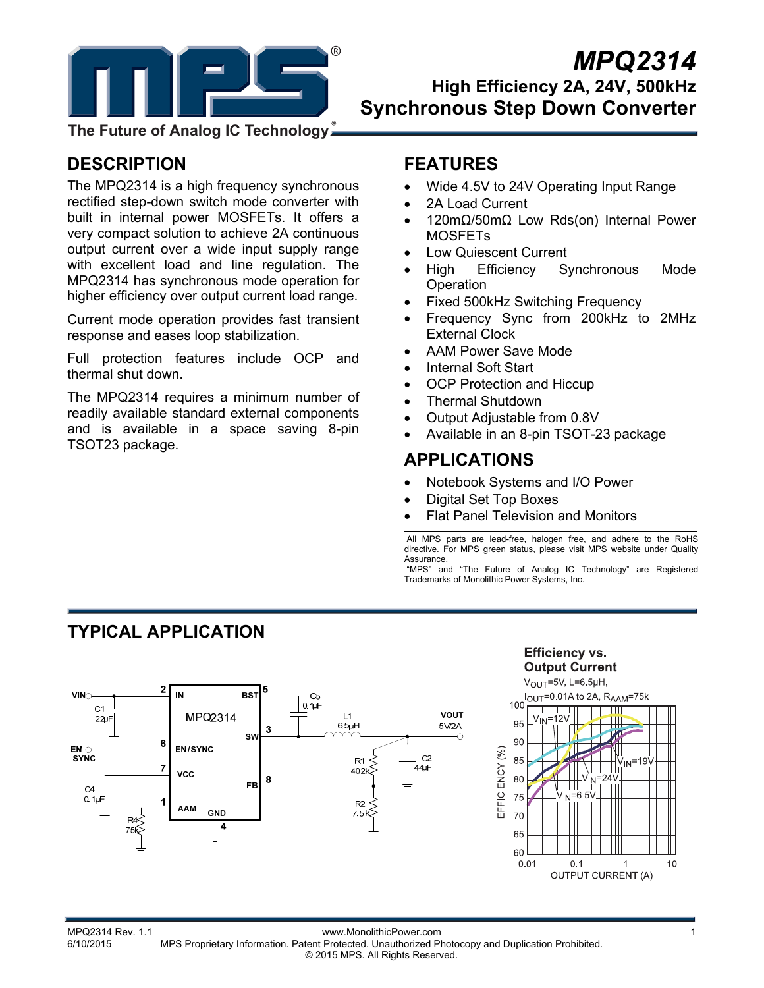

## *MPQ2314* **High Efficiency 2A, 24V, 500kHz Synchronous Step Down Converter**

**The Future of Analog IC Technology**

## **DESCRIPTION**

The MPQ2314 is a high frequency synchronous rectified step-down switch mode converter with built in internal power MOSFETs. It offers a very compact solution to achieve 2A continuous output current over a wide input supply range with excellent load and line regulation. The MPQ2314 has synchronous mode operation for higher efficiency over output current load range.

Current mode operation provides fast transient response and eases loop stabilization.

Full protection features include OCP and thermal shut down.

The MPQ2314 requires a minimum number of readily available standard external components and is available in a space saving 8-pin TSOT23 package.

## **FEATURES**

- Wide 4.5V to 24V Operating Input Range
- 2A Load Current
- 120mΩ/50mΩ Low Rds(on) Internal Power MOSFETs
- Low Quiescent Current
- High Efficiency Synchronous Mode **Operation**
- Fixed 500kHz Switching Frequency
- Frequency Sync from 200kHz to 2MHz External Clock
- AAM Power Save Mode
- Internal Soft Start
- OCP Protection and Hiccup
- Thermal Shutdown
- Output Adjustable from 0.8V
- Available in an 8-pin TSOT-23 package

## **APPLICATIONS**

- Notebook Systems and I/O Power
- Digital Set Top Boxes
- Flat Panel Television and Monitors

 All MPS parts are lead-free, halogen free, and adhere to the RoHS directive. For MPS green status, please visit MPS website under Quality Assurance.

 "MPS" and "The Future of Analog IC Technology" are Registered Trademarks of Monolithic Power Systems, Inc.

## **TYPICAL APPLICATION**







1<br>1 www.MonolithicPower.com<br>1 6/10/2015 MPS Proprietary Information Patent Protected Unauthorized Photocopy and Duplication Probibited MPS Proprietary Information. Patent Protected. Unauthorized Photocopy and Duplication Prohibited. © 2015 MPS. All Rights Reserved.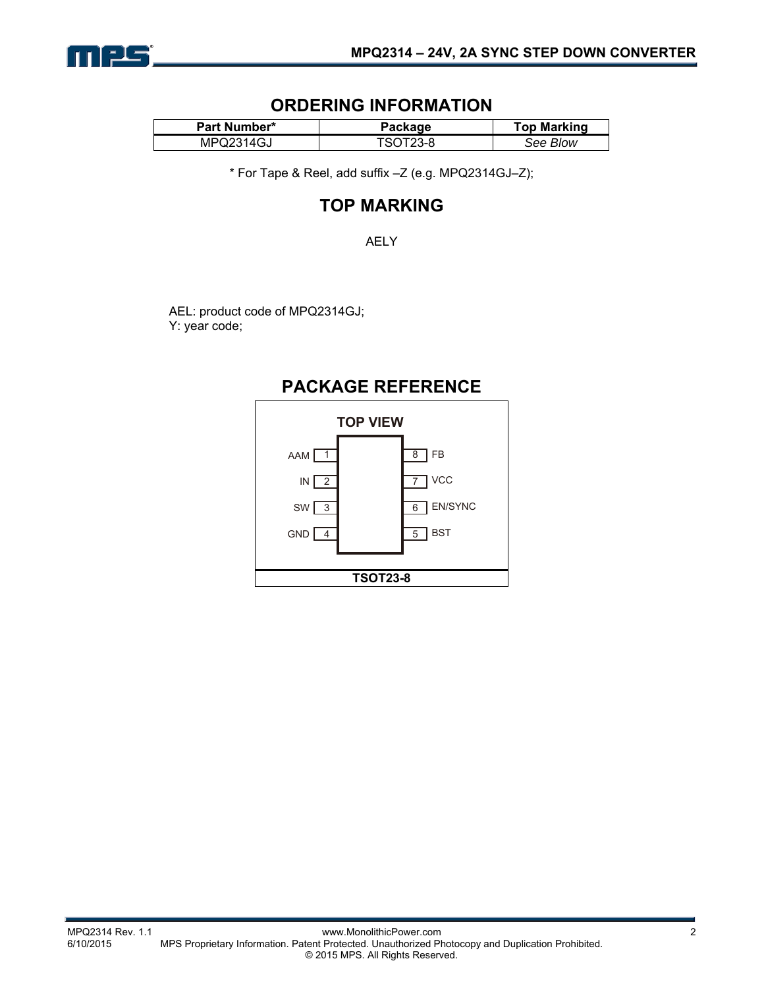

### **ORDERING INFORMATION**

| <b>Part Number*</b> | Package  | <b>Top Marking</b> |  |
|---------------------|----------|--------------------|--|
| MPQ2314GJ           | FSOT23-8 | See Blow           |  |

\* For Tape & Reel, add suffix –Z (e.g. MPQ2314GJ–Z);

## **TOP MARKING**

AELY

AEL: product code of MPQ2314GJ; Y: year code;

## **PACKAGE REFERENCE**

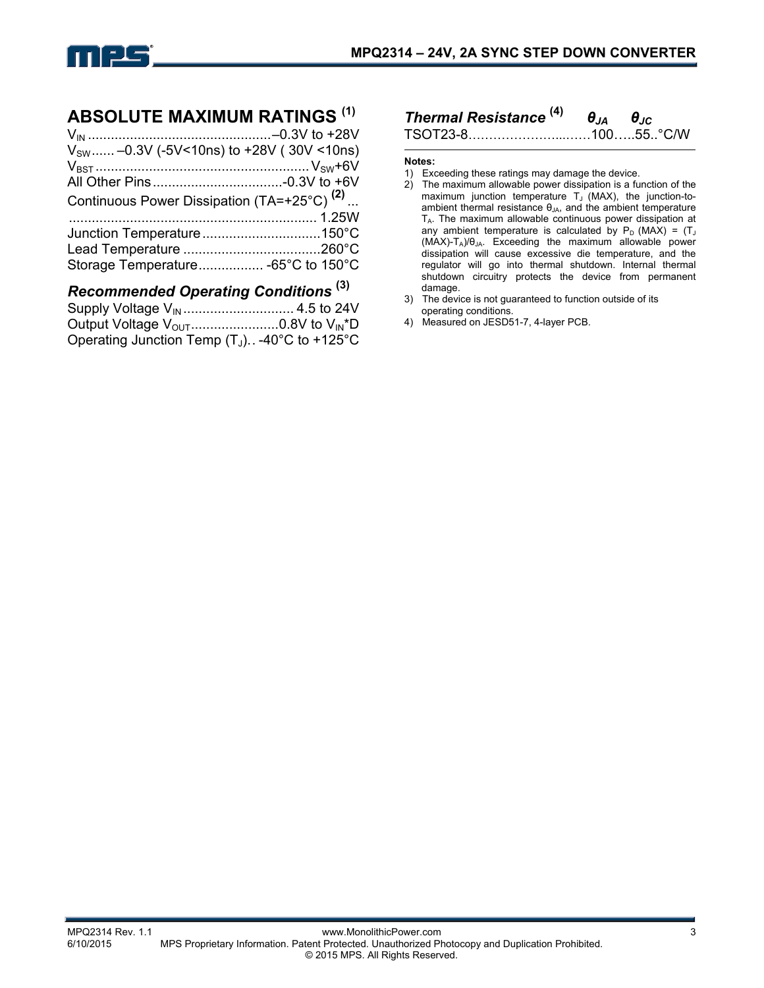

### **ABSOLUTE MAXIMUM RATINGS (1)**

| $V_{\text{SW}}$ -0.3V (-5V<10ns) to +28V (30V <10ns)   |        |
|--------------------------------------------------------|--------|
|                                                        |        |
|                                                        |        |
| Continuous Power Dissipation (TA=+25°C) <sup>(2)</sup> |        |
|                                                        |        |
|                                                        |        |
|                                                        |        |
| Storage Temperature -65°C to 150°C                     |        |
|                                                        | $\sim$ |

### *Recommended Operating Conditions* **(3)**

| Output Voltage $V_{\text{OUT}}$ 0.8V to $V_{\text{IN}}^{\ast}D$ |  |
|-----------------------------------------------------------------|--|
| Operating Junction Temp $(T_J)$ . -40°C to +125°C               |  |

# *Thermal Resistance* **(4)** *θJA θJC*

TSOT23-8…………………...……100…..55..°C/W

#### **Notes:**

- 1) Exceeding these ratings may damage the device.
- 2) The maximum allowable power dissipation is a function of the maximum junction temperature  $T_J$  (MAX), the junction-toambient thermal resistance  $\theta_{JA}$ , and the ambient temperature T<sub>A</sub>. The maximum allowable continuous power dissipation at any ambient temperature is calculated by  $P_D$  (MAX) = (T<sub>J</sub>  $(MAX)-T_A)/\theta_{JA}$ . Exceeding the maximum allowable power dissipation will cause excessive die temperature, and the regulator will go into thermal shutdown. Internal thermal shutdown circuitry protects the device from permanent damage.
- 3) The device is not guaranteed to function outside of its operating conditions.
- 4) Measured on JESD51-7, 4-layer PCB.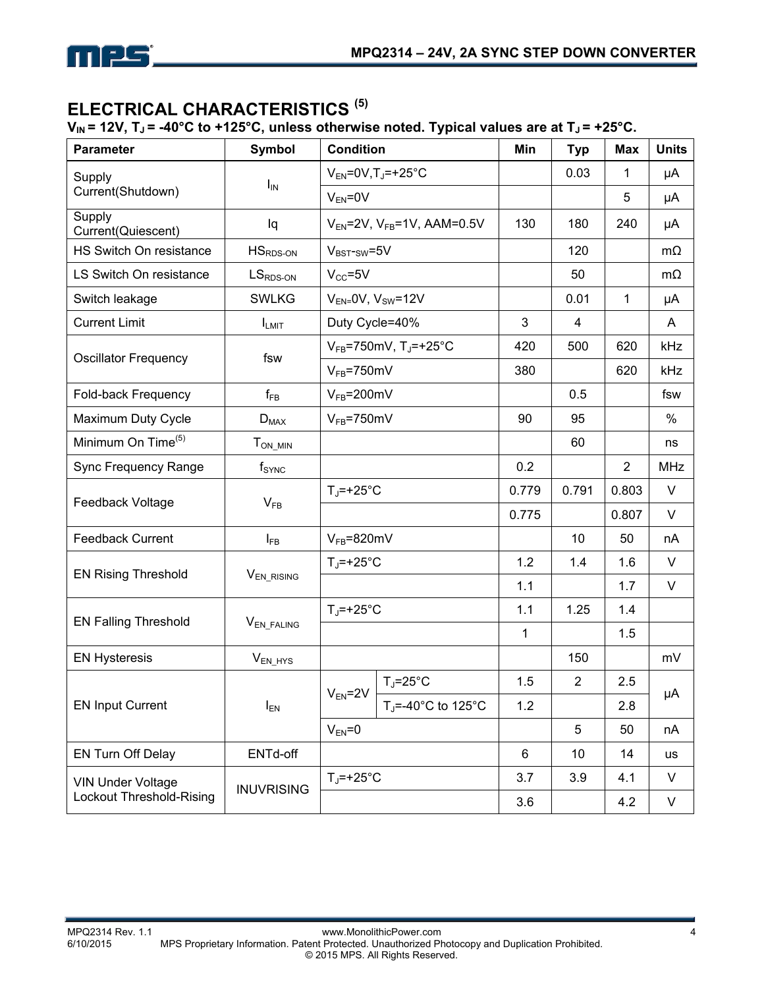

## **ELECTRICAL CHARACTERISTICS (5)**

 $V_{IN}$  = 12V,  $T_J$  = -40°C to +125°C, unless otherwise noted. Typical values are at  $T_J$  = +25°C.

| <b>Parameter</b>               | <b>Symbol</b>                     | <b>Condition</b>                              |                                                      | Min   | <b>Typ</b>              | <b>Max</b>     | <b>Units</b> |
|--------------------------------|-----------------------------------|-----------------------------------------------|------------------------------------------------------|-------|-------------------------|----------------|--------------|
| Supply                         |                                   | $V_{EN} = 0V$ , T <sub>J</sub> =+25°C         |                                                      |       | 0.03                    | 1              | μA           |
| Current(Shutdown)              | $I_{IN}$                          | $V_{EN} = 0V$                                 |                                                      |       |                         | 5              | μA           |
| Supply<br>Current(Quiescent)   | Iq                                |                                               | $V_{EN}$ =2V, $V_{FB}$ =1V, AAM=0.5V                 | 130   | 180                     | 240            | μA           |
| HS Switch On resistance        | $HSRDS-ON$                        | $V_{BST-SW} = 5V$                             |                                                      |       | 120                     |                | $m\Omega$    |
| LS Switch On resistance        | $LSRDS-ON$                        | $V_{CC} = 5V$                                 |                                                      |       | 50                      |                | $m\Omega$    |
| Switch leakage                 | <b>SWLKG</b>                      |                                               | $V_{EN} = 0V$ , $V_{SW} = 12V$                       |       | 0.01                    | 1              | μA           |
| <b>Current Limit</b>           | <b>ILMIT</b>                      | Duty Cycle=40%                                |                                                      | 3     | $\overline{\mathbf{4}}$ |                | A            |
| <b>Oscillator Frequency</b>    | fsw                               | $V_{FB}$ =750mV, T <sub>J</sub> =+25°C<br>420 |                                                      | 500   | 620                     | kHz            |              |
|                                |                                   | $V_{FB}$ =750mV                               |                                                      | 380   |                         | 620            | kHz          |
| Fold-back Frequency            | $f_{FB}$                          | $V_{FB} = 200$ mV                             |                                                      |       | 0.5                     |                | fsw          |
| Maximum Duty Cycle             | $D_{MAX}$                         | $V_{FB}$ =750mV                               |                                                      | 90    | 95                      |                | %            |
| Minimum On Time <sup>(5)</sup> | $T_{ON\_MIN}$                     |                                               |                                                      |       | 60                      |                | ns           |
| Sync Frequency Range           | $f_{\text{SYNC}}$                 |                                               |                                                      | 0.2   |                         | $\overline{2}$ | <b>MHz</b>   |
| Feedback Voltage               | $V_{FB}$                          | $T_J$ =+25°C                                  |                                                      | 0.779 | 0.791                   | 0.803          | $\vee$       |
|                                |                                   |                                               |                                                      | 0.775 |                         | 0.807          | V            |
| <b>Feedback Current</b>        | $I_{FB}$                          | $V_{FB} = 820$ mV                             |                                                      |       | 10                      | 50             | nA           |
| <b>EN Rising Threshold</b>     |                                   | $T_J$ =+25°C                                  |                                                      | 1.2   | 1.4                     | 1.6            | $\vee$       |
|                                | V <sub>EN_RISING</sub>            |                                               |                                                      | 1.1   |                         | 1.7            | $\vee$       |
| <b>EN Falling Threshold</b>    |                                   | $T_J$ =+25°C                                  |                                                      | 1.1   | 1.25                    | 1.4            |              |
|                                | V <sub>EN_FALING</sub>            |                                               |                                                      | 1     |                         | 1.5            |              |
| <b>EN Hysteresis</b>           | $V_{EN_HYS}$                      |                                               |                                                      |       | 150                     |                | mV           |
|                                |                                   |                                               | $T_J = 25$ °C                                        | 1.5   | $\overline{2}$          | 2.5            | μA           |
| <b>EN Input Current</b>        | $I_{EN}$                          | $V_{EN}$ =2V                                  | T <sub>J</sub> =-40 $^{\circ}$ C to 125 $^{\circ}$ C | 1.2   |                         | 2.8            |              |
|                                | $V_{EN} = 0$                      |                                               |                                                      | 5     | 50                      | nA             |              |
| EN Turn Off Delay              | ENTd-off                          |                                               |                                                      | 6     | 10                      | 14             | us           |
| <b>VIN Under Voltage</b>       | $T_J$ =+25°C<br><b>INUVRISING</b> |                                               |                                                      | 3.7   | 3.9                     | 4.1            | V            |
| Lockout Threshold-Rising       |                                   |                                               |                                                      | 3.6   |                         | 4.2            | $\sf V$      |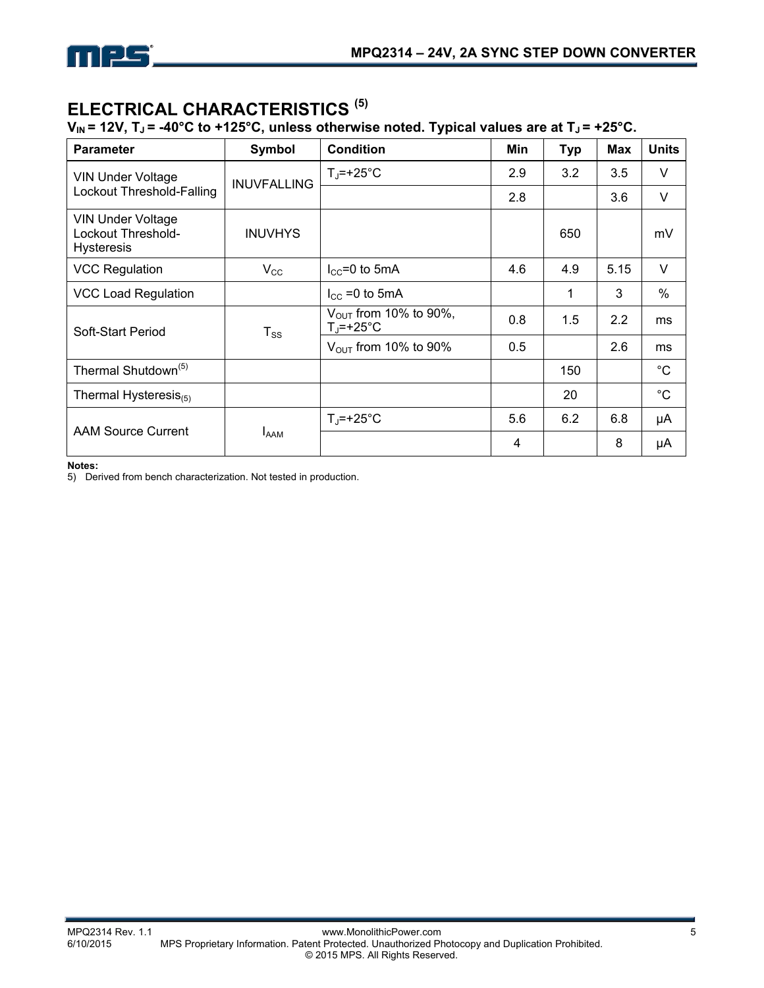

## **ELECTRICAL CHARACTERISTICS (5)**

#### $V_{IN}$  = 12V,  $T_J$  = -40°C to +125°C, unless otherwise noted. Typical values are at  $T_J$  = +25°C.

| <b>Parameter</b>                                                    | Symbol             | <b>Condition</b>                                        | Min | <b>Typ</b> | Max  | <b>Units</b>  |
|---------------------------------------------------------------------|--------------------|---------------------------------------------------------|-----|------------|------|---------------|
| <b>VIN Under Voltage</b>                                            | <b>INUVFALLING</b> | $T_J$ =+25°C                                            | 2.9 | 3.2        | 3.5  | V             |
| Lockout Threshold-Falling                                           |                    |                                                         | 2.8 |            | 3.6  | $\vee$        |
| <b>VIN Under Voltage</b><br>Lockout Threshold-<br><b>Hysteresis</b> | <b>INUVHYS</b>     |                                                         |     | 650        |      | mV            |
| <b>VCC Regulation</b>                                               | $V_{\rm CC}$       | $I_{CC}$ =0 to 5mA                                      | 4.6 | 4.9        | 5.15 | $\vee$        |
| <b>VCC Load Regulation</b>                                          |                    | $I_{\text{CC}}$ =0 to 5mA                               |     | 1          | 3    | $\frac{0}{0}$ |
| Soft-Start Period                                                   | $T_{SS}$           | $V_{\text{OUT}}$ from 10% to 90%,<br>$T_{\rm J}$ =+25°C | 0.8 | 1.5        | 2.2  | ms            |
|                                                                     |                    | $V_{\text{OUT}}$ from 10% to 90%                        | 0.5 |            | 2.6  | ms            |
| Thermal Shutdown <sup>(5)</sup>                                     |                    |                                                         |     | 150        |      | $^{\circ}C$   |
| Thermal Hysteresis $_{(5)}$                                         |                    |                                                         |     | 20         |      | $^{\circ}C$   |
| <b>AAM Source Current</b>                                           |                    | $T_i = +25^{\circ}C$                                    | 5.6 | 6.2        | 6.8  | μA            |
|                                                                     | <b>LAAM</b>        |                                                         | 4   |            | 8    | μA            |

**Notes:** 

5) Derived from bench characterization. Not tested in production.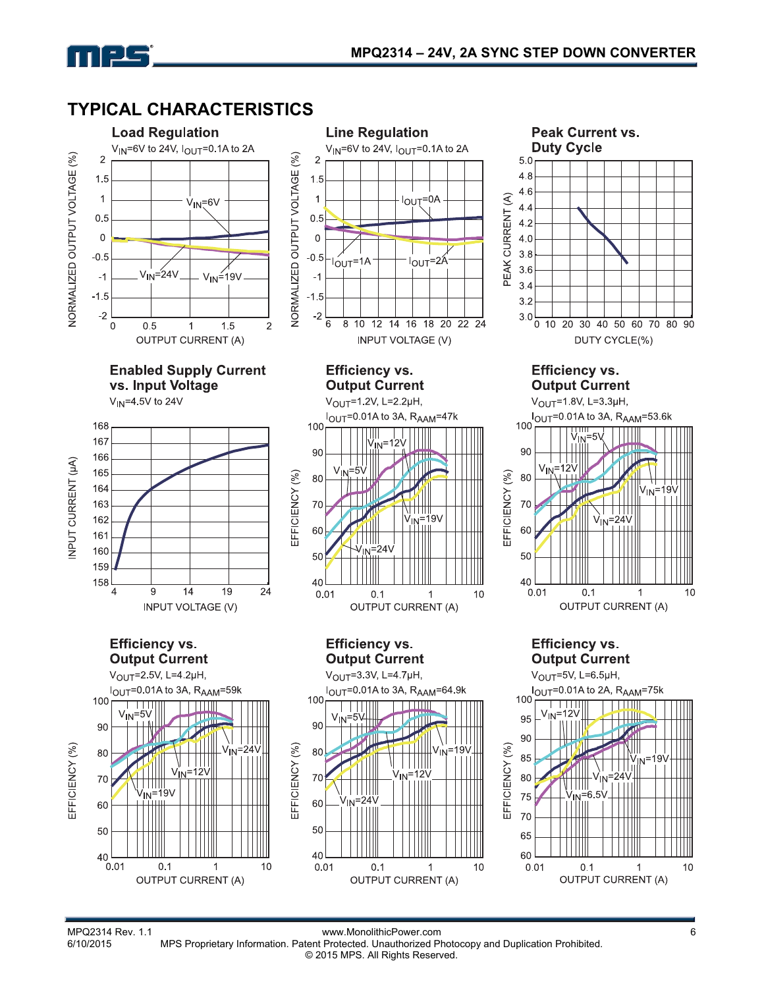

mpg



MPQ2314 Rev. 1.1 www.MonolithicPower.com<br>6/10/2015 MPS Proprietary Information. Patent Protected. Unauthorized Photocopy and Duplication Prohibited. MPS Proprietary Information. Patent Protected. Unauthorized Photocopy and Duplication Prohibited. © 2015 MPS. All Rights Reserved.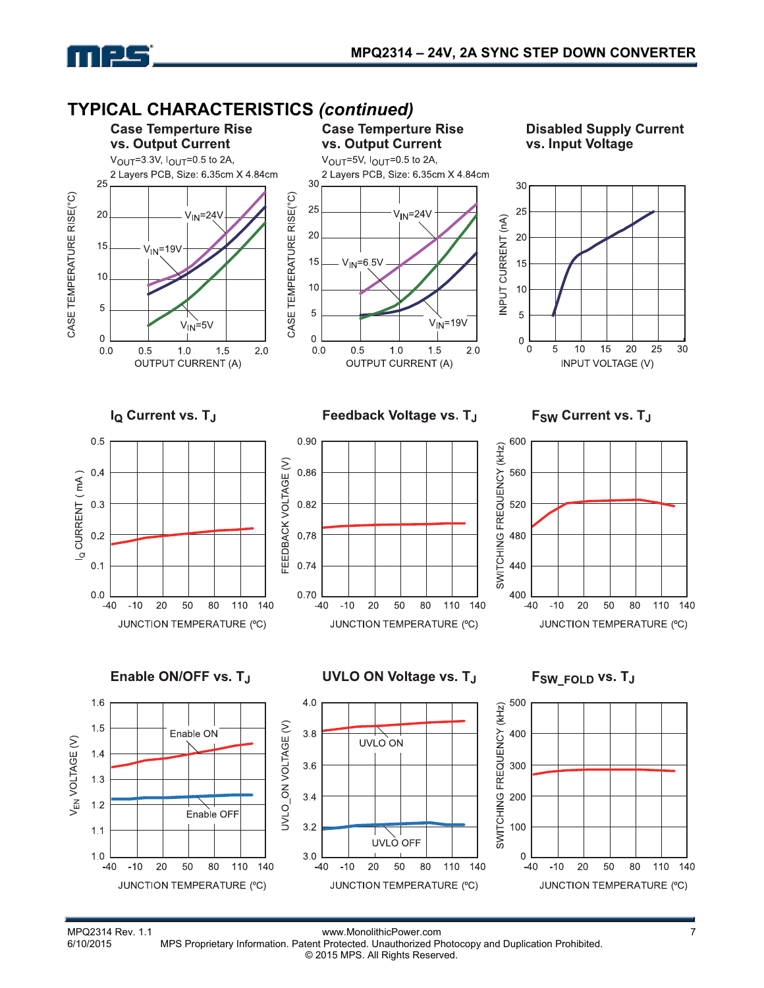



© 2015 MPS. All Rights Reserved.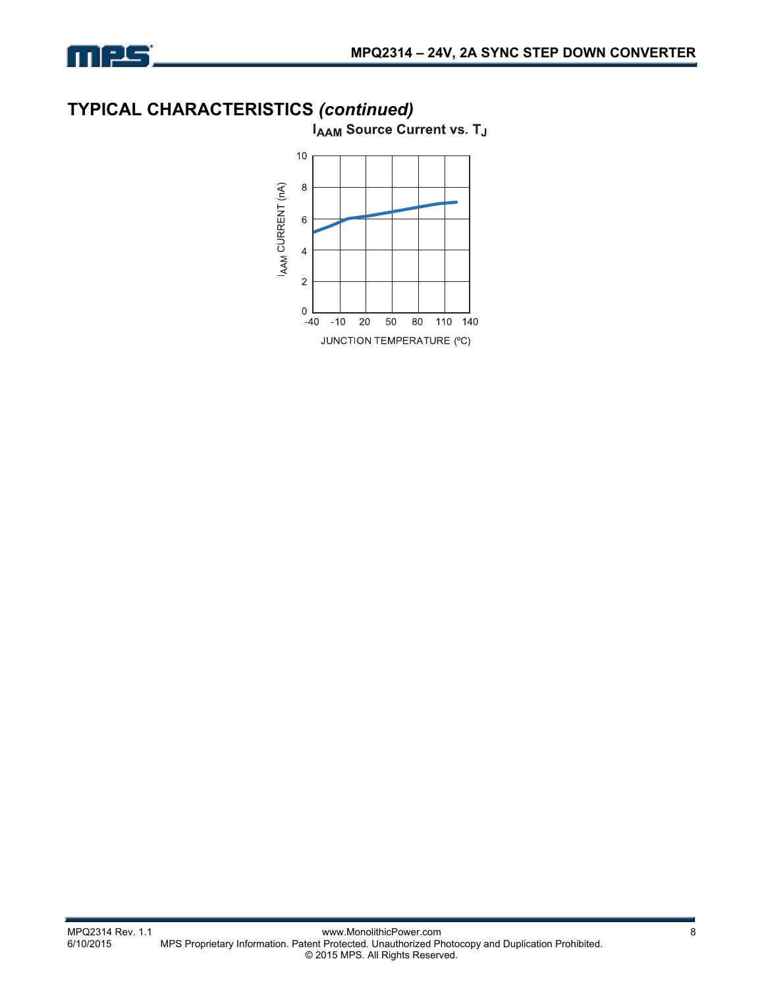

## **TYPICAL CHARACTERISTICS** *(continued)*

**IAAM Source Current vs. TJ** 

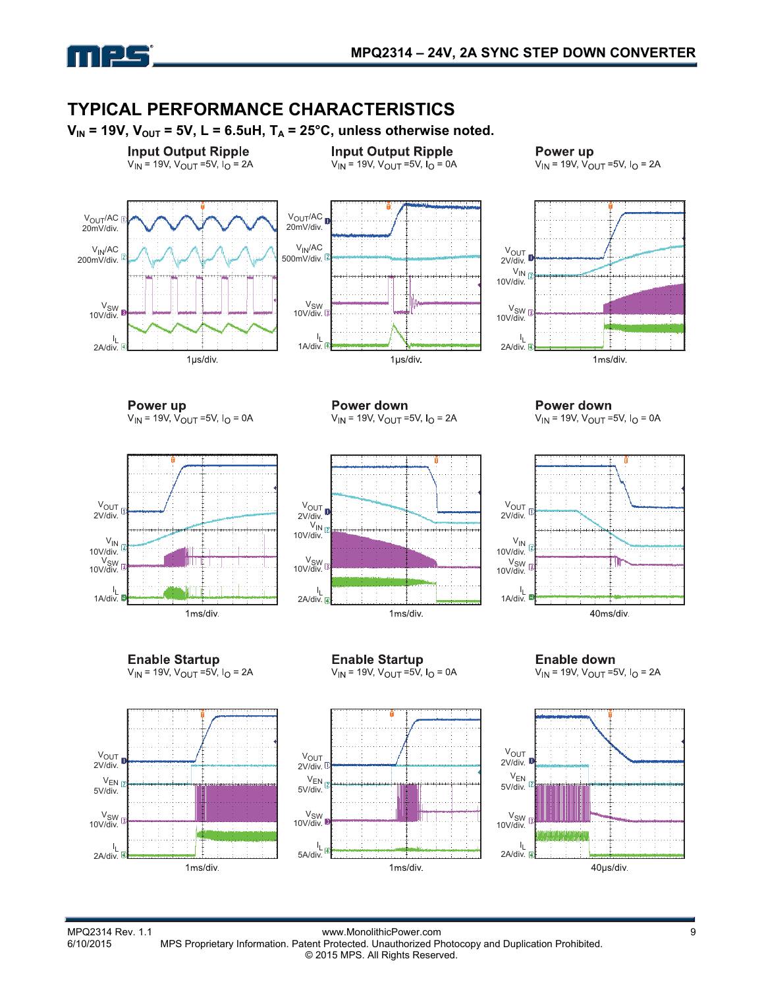

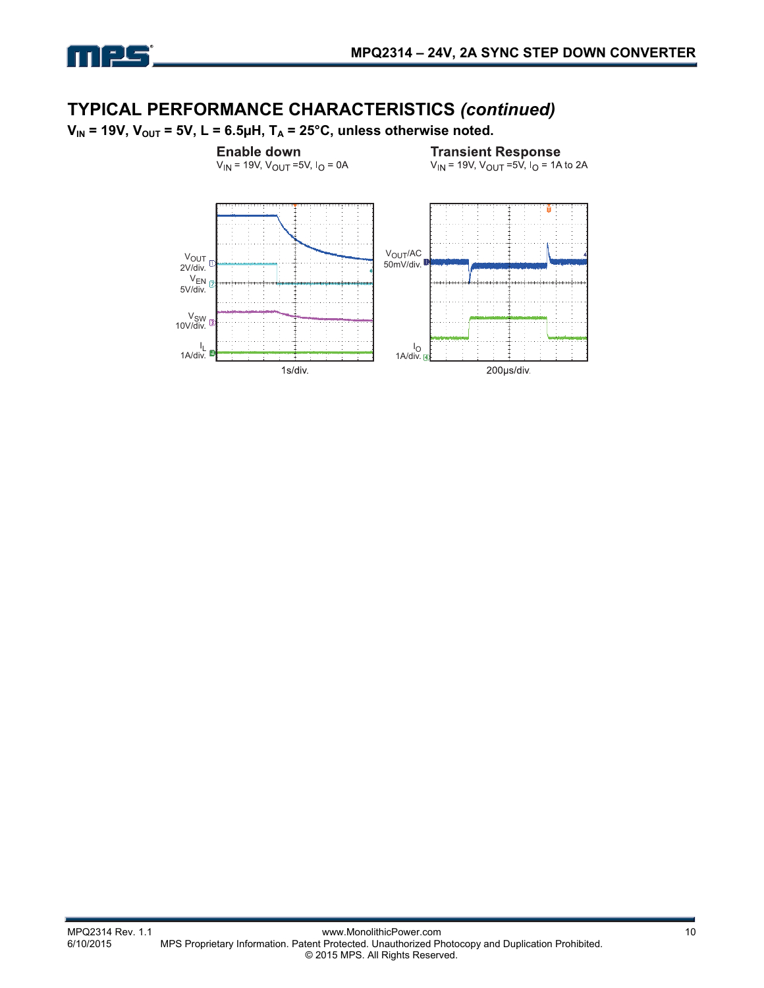

### **TYPICAL PERFORMANCE CHARACTERISTICS** *(continued)*

 $V_{IN}$  = 19V,  $V_{OUT}$  = 5V, L = 6.5µH, T<sub>A</sub> = 25°C, unless otherwise noted.

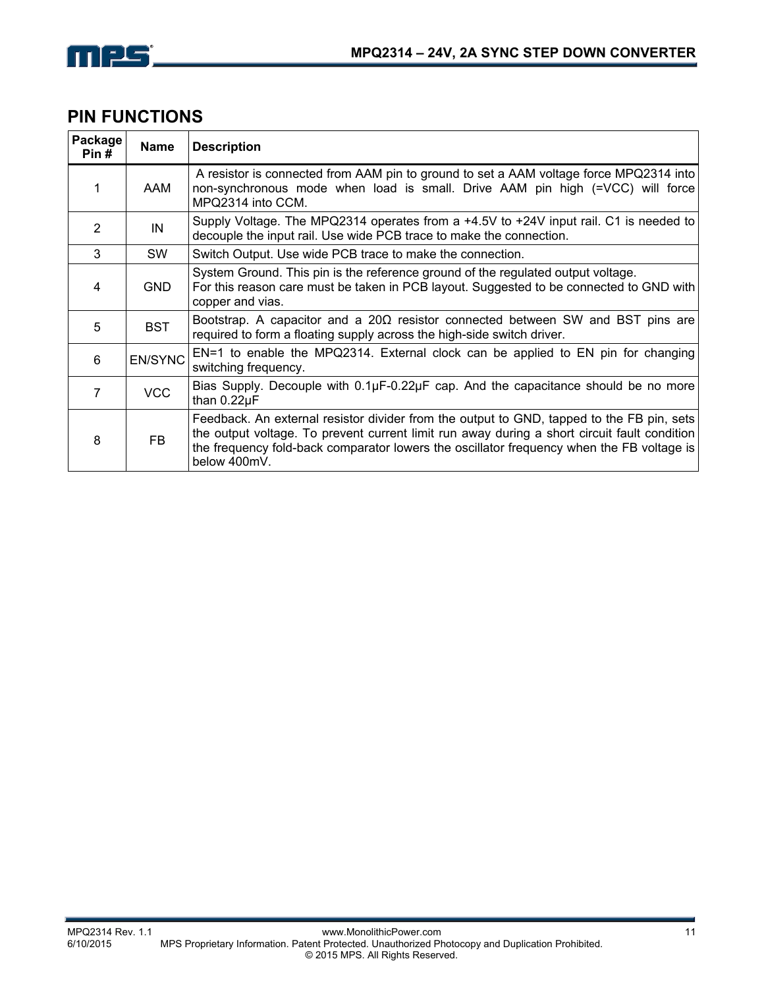

## **PIN FUNCTIONS**

| Package<br>Pin# | Name           | <b>Description</b>                                                                                                                                                                                                                                                                                     |  |  |
|-----------------|----------------|--------------------------------------------------------------------------------------------------------------------------------------------------------------------------------------------------------------------------------------------------------------------------------------------------------|--|--|
|                 | AAM            | A resistor is connected from AAM pin to ground to set a AAM voltage force MPQ2314 into<br>non-synchronous mode when load is small. Drive AAM pin high (=VCC) will force<br>MPQ2314 into CCM.                                                                                                           |  |  |
| $\mathcal{P}$   | IN             | Supply Voltage. The MPQ2314 operates from a +4.5V to +24V input rail. C1 is needed to<br>decouple the input rail. Use wide PCB trace to make the connection.                                                                                                                                           |  |  |
| 3               | <b>SW</b>      | Switch Output. Use wide PCB trace to make the connection.                                                                                                                                                                                                                                              |  |  |
| 4               | <b>GND</b>     | System Ground. This pin is the reference ground of the regulated output voltage.<br>For this reason care must be taken in PCB layout. Suggested to be connected to GND with<br>copper and vias.                                                                                                        |  |  |
| 5               | <b>BST</b>     | Bootstrap. A capacitor and a $20\Omega$ resistor connected between SW and BST pins are<br>required to form a floating supply across the high-side switch driver.                                                                                                                                       |  |  |
| 6               | <b>EN/SYNC</b> | EN=1 to enable the MPQ2314. External clock can be applied to EN pin for changing<br>switching frequency.                                                                                                                                                                                               |  |  |
| 7               | <b>VCC</b>     | Bias Supply. Decouple with $0.1\mu$ F-0.22 $\mu$ F cap. And the capacitance should be no more<br>than 0.22µF                                                                                                                                                                                           |  |  |
| 8               | <b>FB</b>      | Feedback. An external resistor divider from the output to GND, tapped to the FB pin, sets<br>the output voltage. To prevent current limit run away during a short circuit fault condition<br>the frequency fold-back comparator lowers the oscillator frequency when the FB voltage is<br>below 400mV. |  |  |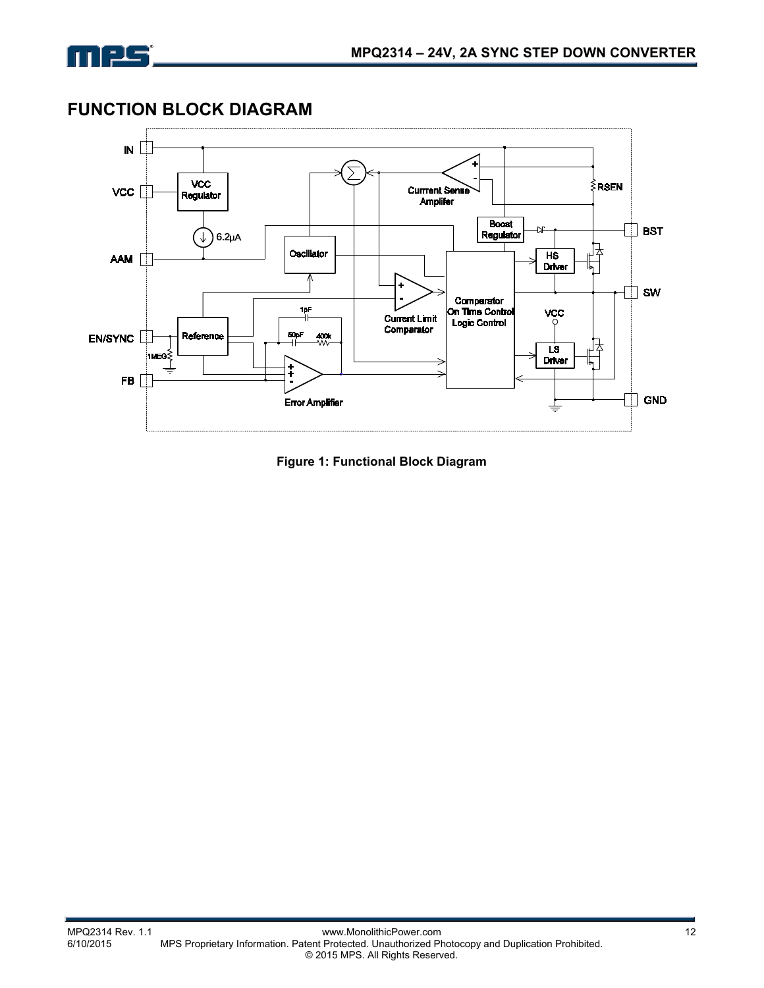

**FUNCTION BLOCK DIAGRAM** 



**Figure 1: Functional Block Diagram**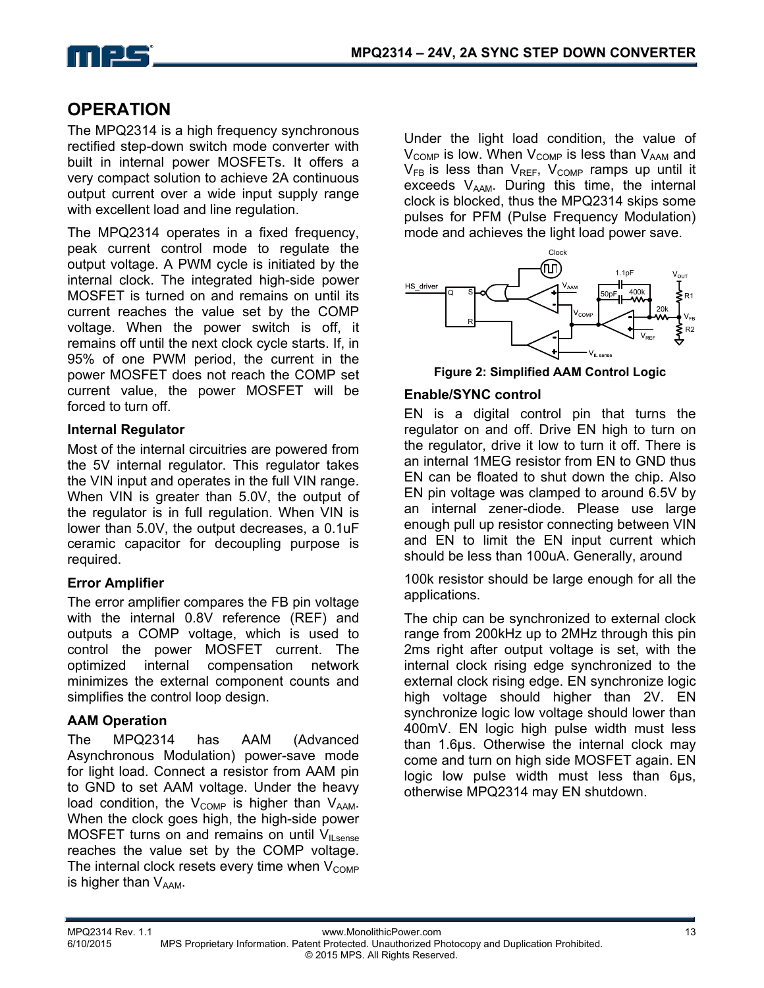

## **OPERATION**

The MPQ2314 is a high frequency synchronous rectified step-down switch mode converter with built in internal power MOSFETs. It offers a very compact solution to achieve 2A continuous output current over a wide input supply range with excellent load and line regulation.

The MPQ2314 operates in a fixed frequency, peak current control mode to regulate the output voltage. A PWM cycle is initiated by the internal clock. The integrated high-side power MOSFET is turned on and remains on until its current reaches the value set by the COMP voltage. When the power switch is off, it remains off until the next clock cycle starts. If, in 95% of one PWM period, the current in the power MOSFET does not reach the COMP set current value, the power MOSFET will be forced to turn off.

#### **Internal Regulator**

Most of the internal circuitries are powered from the 5V internal regulator. This regulator takes the VIN input and operates in the full VIN range. When VIN is greater than 5.0V, the output of the regulator is in full regulation. When VIN is lower than 5.0V, the output decreases, a 0.1uF ceramic capacitor for decoupling purpose is required.

#### **Error Amplifier**

The error amplifier compares the FB pin voltage with the internal 0.8V reference (REF) and outputs a COMP voltage, which is used to control the power MOSFET current. The optimized internal compensation network minimizes the external component counts and simplifies the control loop design.

#### **AAM Operation**

The MPQ2314 has AAM (Advanced Asynchronous Modulation) power-save mode for light load. Connect a resistor from AAM pin to GND to set AAM voltage. Under the heavy load condition, the  $V_{\text{COMP}}$  is higher than  $V_{\text{AAM}}$ . When the clock goes high, the high-side power MOSFET turns on and remains on until  $V_{II, sense}$ reaches the value set by the COMP voltage. The internal clock resets every time when  $V_{\text{COMP}}$ is higher than  $V_{AAM}$ .

Under the light load condition, the value of  $V_{\text{COMP}}$  is low. When  $V_{\text{COMP}}$  is less than  $V_{\text{AAM}}$  and  $V_{FB}$  is less than  $V_{REF}$ ,  $V_{COMP}$  ramps up until it exceeds  $V_{AAM}$ . During this time, the internal clock is blocked, thus the MPQ2314 skips some pulses for PFM (Pulse Frequency Modulation) mode and achieves the light load power save.



**Figure 2: Simplified AAM Control Logic** 

#### **Enable/SYNC control**

EN is a digital control pin that turns the regulator on and off. Drive EN high to turn on the regulator, drive it low to turn it off. There is an internal 1MEG resistor from EN to GND thus EN can be floated to shut down the chip. Also EN pin voltage was clamped to around 6.5V by an internal zener-diode. Please use large enough pull up resistor connecting between VIN and EN to limit the EN input current which should be less than 100uA. Generally, around

100k resistor should be large enough for all the applications.

The chip can be synchronized to external clock range from 200kHz up to 2MHz through this pin 2ms right after output voltage is set, with the internal clock rising edge synchronized to the external clock rising edge. EN synchronize logic high voltage should higher than 2V. EN synchronize logic low voltage should lower than 400mV. EN logic high pulse width must less than 1.6µs. Otherwise the internal clock may come and turn on high side MOSFET again. EN logic low pulse width must less than 6µs, otherwise MPQ2314 may EN shutdown.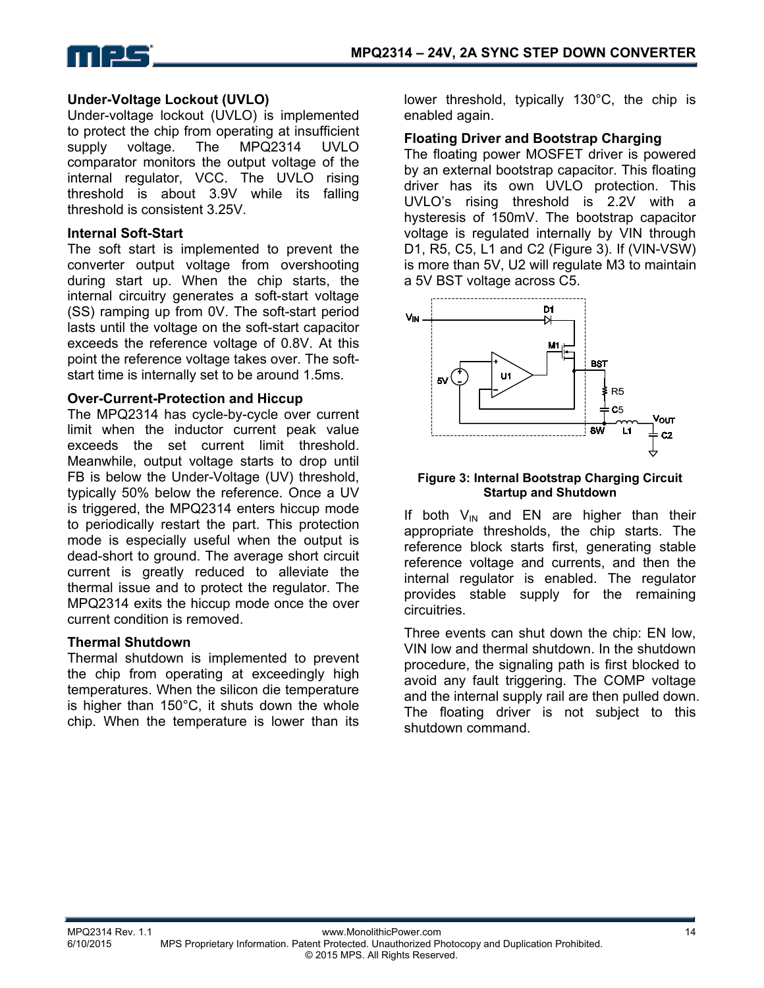

#### **Under-Voltage Lockout (UVLO)**

Under-voltage lockout (UVLO) is implemented to protect the chip from operating at insufficient supply voltage. The MPQ2314 UVLO comparator monitors the output voltage of the internal regulator, VCC. The UVLO rising threshold is about 3.9V while its falling threshold is consistent 3.25V.

#### **Internal Soft-Start**

The soft start is implemented to prevent the converter output voltage from overshooting during start up. When the chip starts, the internal circuitry generates a soft-start voltage (SS) ramping up from 0V. The soft-start period lasts until the voltage on the soft-start capacitor exceeds the reference voltage of 0.8V. At this point the reference voltage takes over. The softstart time is internally set to be around 1.5ms.

#### **Over-Current-Protection and Hiccup**

The MPQ2314 has cycle-by-cycle over current limit when the inductor current peak value exceeds the set current limit threshold. Meanwhile, output voltage starts to drop until FB is below the Under-Voltage (UV) threshold, typically 50% below the reference. Once a UV is triggered, the MPQ2314 enters hiccup mode to periodically restart the part. This protection mode is especially useful when the output is dead-short to ground. The average short circuit current is greatly reduced to alleviate the thermal issue and to protect the regulator. The MPQ2314 exits the hiccup mode once the over current condition is removed.

#### **Thermal Shutdown**

Thermal shutdown is implemented to prevent the chip from operating at exceedingly high temperatures. When the silicon die temperature is higher than 150°C, it shuts down the whole chip. When the temperature is lower than its

lower threshold, typically 130°C, the chip is enabled again.

#### **Floating Driver and Bootstrap Charging**

The floating power MOSFET driver is powered by an external bootstrap capacitor. This floating driver has its own UVLO protection. This UVLO's rising threshold is 2.2V with a hysteresis of 150mV. The bootstrap capacitor voltage is regulated internally by VIN through D1, R5, C5, L1 and C2 (Figure 3). If (VIN-VSW) is more than 5V, U2 will regulate M3 to maintain a 5V BST voltage across C5.



#### **Figure 3: Internal Bootstrap Charging Circuit Startup and Shutdown**

If both  $V_{IN}$  and EN are higher than their appropriate thresholds, the chip starts. The reference block starts first, generating stable reference voltage and currents, and then the internal regulator is enabled. The regulator provides stable supply for the remaining circuitries.

Three events can shut down the chip: EN low, VIN low and thermal shutdown. In the shutdown procedure, the signaling path is first blocked to avoid any fault triggering. The COMP voltage and the internal supply rail are then pulled down. The floating driver is not subject to this shutdown command.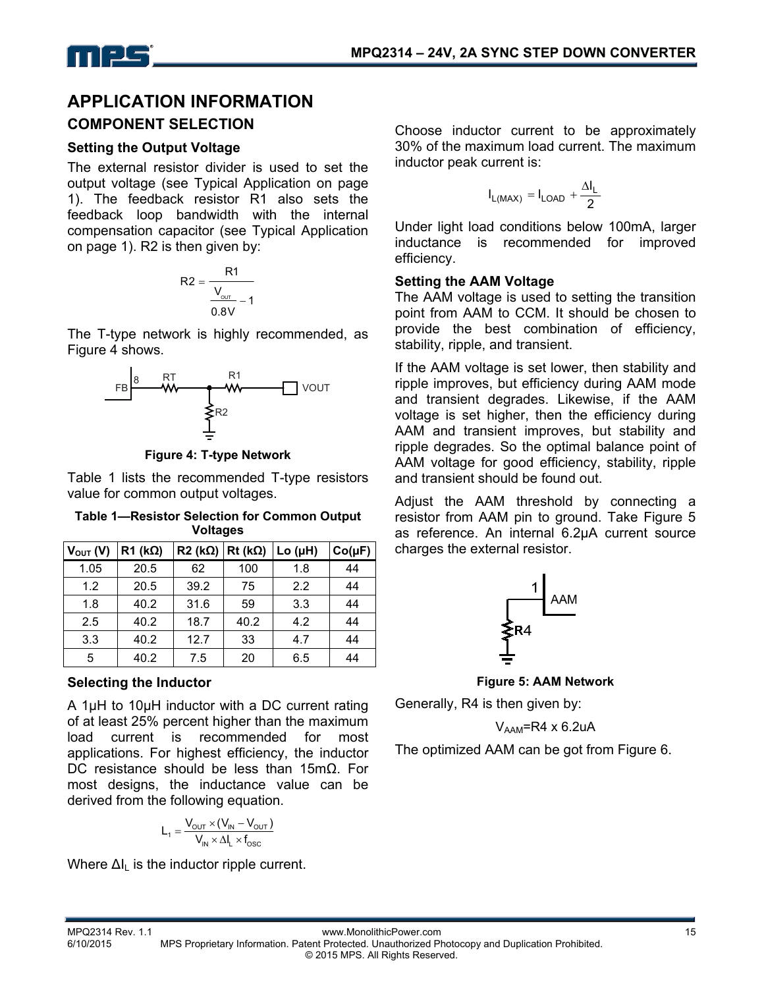

## **APPLICATION INFORMATION COMPONENT SELECTION**

#### **Setting the Output Voltage**

The external resistor divider is used to set the output voltage (see Typical Application on page 1). The feedback resistor R1 also sets the feedback loop bandwidth with the internal compensation capacitor (see Typical Application on page 1). R2 is then given by:

$$
R2 = \frac{R1}{\frac{V_{\text{our}}}{0.8V} - 1}
$$

The T-type network is highly recommended, as Figure 4 shows.



**Figure 4: T-type Network**

Table 1 lists the recommended T-type resistors value for common output voltages.

**Table 1—Resistor Selection for Common Output Voltages** 

| $V_{OUT} (V)$ | $R1$ (k $\Omega$ ) | $R2 (k\Omega)   Rt (k\Omega)$ |      | Lo (µH) | $Co(\mu F)$ |
|---------------|--------------------|-------------------------------|------|---------|-------------|
| 1.05          | 20.5               | 62                            | 100  | 1.8     | 44          |
| 1.2           | 20.5               | 39.2                          | 75   | 2.2     | 44          |
| 1.8           | 40.2               | 31.6                          | 59   | 3.3     | 44          |
| 2.5           | 40.2               | 18.7                          | 40.2 | 4.2     | 44          |
| 3.3           | 40.2               | 12.7                          | 33   | 4.7     | 44          |
| 5             | 40.2               | 7.5                           | 20   | 6.5     | 44          |

#### **Selecting the Inductor**

A 1µH to 10µH inductor with a DC current rating of at least 25% percent higher than the maximum load current is recommended for most applications. For highest efficiency, the inductor DC resistance should be less than 15mΩ. For most designs, the inductance value can be derived from the following equation.

$$
L_1 = \frac{V_{\text{OUT}} \times (V_{\text{IN}} - V_{\text{OUT}})}{V_{\text{IN}} \times \Delta I_L \times f_{\text{osc}}}
$$

Where  $\Delta I_L$  is the inductor ripple current.

Choose inductor current to be approximately 30% of the maximum load current. The maximum inductor peak current is:

$$
I_{L(MAX)}=I_{LOAD}+\frac{\Delta I_L}{2}
$$

Under light load conditions below 100mA, larger inductance is recommended for improved efficiency.

#### **Setting the AAM Voltage**

The AAM voltage is used to setting the transition point from AAM to CCM. It should be chosen to provide the best combination of efficiency, stability, ripple, and transient.

If the AAM voltage is set lower, then stability and ripple improves, but efficiency during AAM mode and transient degrades. Likewise, if the AAM voltage is set higher, then the efficiency during AAM and transient improves, but stability and ripple degrades. So the optimal balance point of AAM voltage for good efficiency, stability, ripple and transient should be found out.

Adjust the AAM threshold by connecting a resistor from AAM pin to ground. Take Figure 5 as reference. An internal 6.2µA current source charges the external resistor.



**Figure 5: AAM Network** 

Generally, R4 is then given by:

 $V_{AAM}$ =R4 x 6.2uA

The optimized AAM can be got from Figure 6.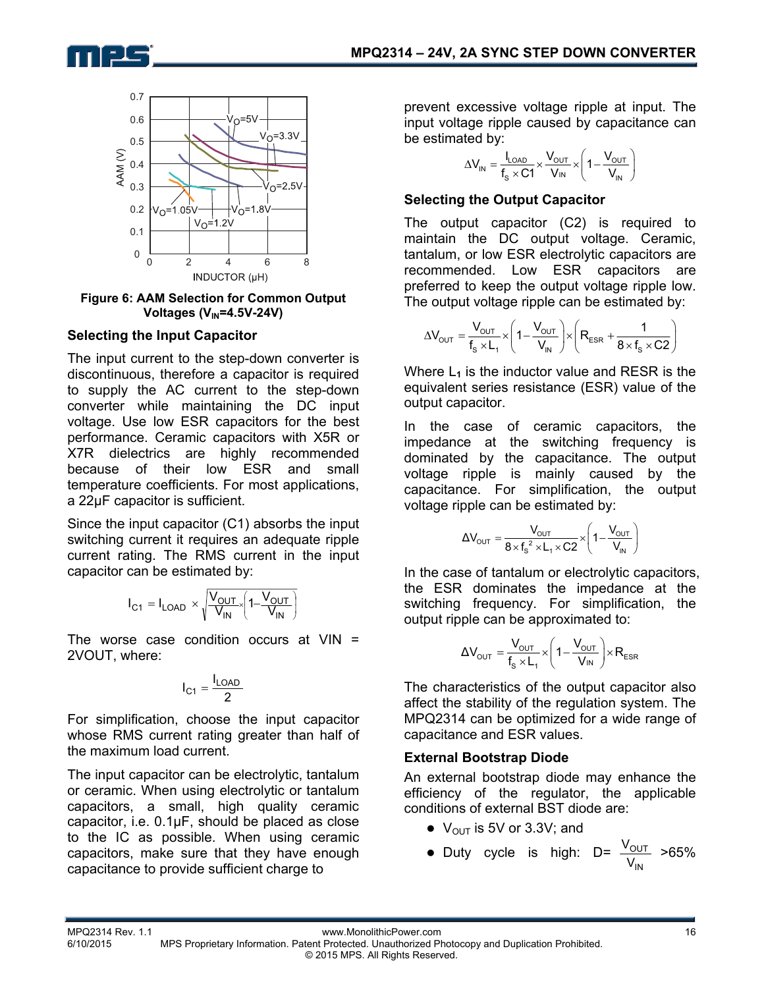



**Figure 6: AAM Selection for Common Output Voltages (V<sub>IN</sub>=4.5V-24V)** 

#### **Selecting the Input Capacitor**

The input current to the step-down converter is discontinuous, therefore a capacitor is required to supply the AC current to the step-down converter while maintaining the DC input voltage. Use low ESR capacitors for the best performance. Ceramic capacitors with X5R or X7R dielectrics are highly recommended because of their low ESR and small temperature coefficients. For most applications, a 22µF capacitor is sufficient.

Since the input capacitor (C1) absorbs the input switching current it requires an adequate ripple current rating. The RMS current in the input capacitor can be estimated by:

$$
I_{C1} = I_{LOAD} \times \sqrt{\frac{V_{OUT}}{V_{IN}} \left(1 - \frac{V_{OUT}}{V_{IN}}\right)}
$$

The worse case condition occurs at  $VIN =$ 2VOUT, where:

$$
I_{C1}=\frac{I_{LOAD}}{2}
$$

For simplification, choose the input capacitor whose RMS current rating greater than half of the maximum load current.

The input capacitor can be electrolytic, tantalum or ceramic. When using electrolytic or tantalum capacitors, a small, high quality ceramic capacitor, i.e. 0.1μF, should be placed as close to the IC as possible. When using ceramic capacitors, make sure that they have enough capacitance to provide sufficient charge to

prevent excessive voltage ripple at input. The input voltage ripple caused by capacitance can be estimated by:

$$
\Delta V_{IN} = \frac{I_{LOAD}}{f_s \times C1} \times \frac{V_{OUT}}{V_{IN}} \times \left(1 - \frac{V_{OUT}}{V_{IN}}\right)
$$

#### **Selecting the Output Capacitor**

The output capacitor (C2) is required to maintain the DC output voltage. Ceramic, tantalum, or low ESR electrolytic capacitors are recommended. Low ESR capacitors are preferred to keep the output voltage ripple low. The output voltage ripple can be estimated by:

$$
\Delta V_{\text{OUT}} = \frac{V_{\text{OUT}}}{f_s \times L_1} \times \left(1 - \frac{V_{\text{OUT}}}{V_{\text{IN}}}\right) \times \left(R_{\text{ESR}} + \frac{1}{8 \times f_s \times C2}\right)
$$

Where  $L_1$  is the inductor value and RESR is the equivalent series resistance (ESR) value of the output capacitor.

In the case of ceramic capacitors, the impedance at the switching frequency is dominated by the capacitance. The output voltage ripple is mainly caused by the capacitance. For simplification, the output voltage ripple can be estimated by:

$$
\Delta V_{\text{OUT}}=\frac{V_{\text{OUT}}}{8\times f_s^2\times L_1\times C2}\times\left(1-\frac{V_{\text{OUT}}}{V_{\text{IN}}}\right)
$$

In the case of tantalum or electrolytic capacitors, the ESR dominates the impedance at the switching frequency. For simplification, the output ripple can be approximated to:

$$
\Delta V_{\text{OUT}} = \frac{V_{\text{OUT}}}{f_s \times L_1} \times \left(1 - \frac{V_{\text{OUT}}}{V_{\text{IN}}}\right) \times R_{\text{ESR}}
$$

The characteristics of the output capacitor also affect the stability of the regulation system. The MPQ2314 can be optimized for a wide range of capacitance and ESR values.

#### **External Bootstrap Diode**

An external bootstrap diode may enhance the efficiency of the regulator, the applicable conditions of external BST diode are:

- $\bullet$  V<sub>OUT</sub> is 5V or 3.3V; and
- Duty cycle is high: D= IN OUT  $\frac{\rm V_{OUT}}{\rm V_{IN}}$  >65%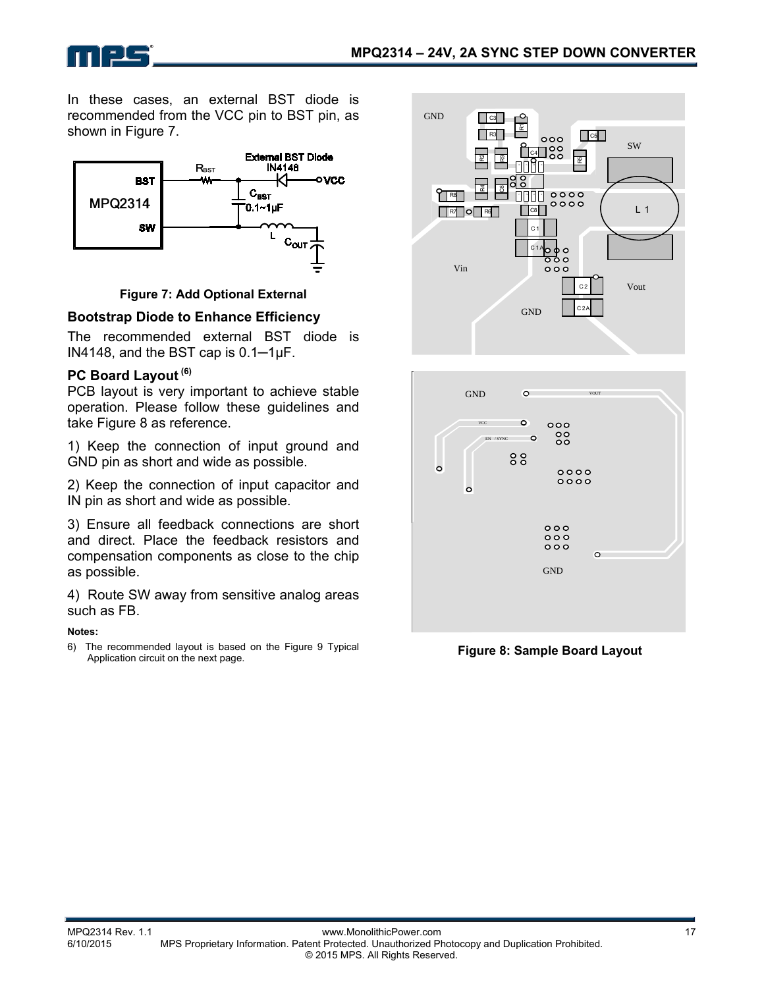In these cases, an external BST diode is recommended from the VCC pin to BST pin, as shown in Figure 7.



**Figure 7: Add Optional External** 

#### **Bootstrap Diode to Enhance Efficiency**

The recommended external BST diode is IN4148, and the BST cap is 0.1─1μF.

#### **PC Board Layout (6)**

n 125

PCB layout is very important to achieve stable operation. Please follow these guidelines and take Figure 8 as reference.

1) Keep the connection of input ground and GND pin as short and wide as possible.

2) Keep the connection of input capacitor and IN pin as short and wide as possible.

3) Ensure all feedback connections are short and direct. Place the feedback resistors and compensation components as close to the chip as possible.

4) Route SW away from sensitive analog areas such as FB.

#### **Notes:**

6) The recommended layout is based on the Figure 9 Typical Application circuit on the next page.





**Figure 8: Sample Board Layout**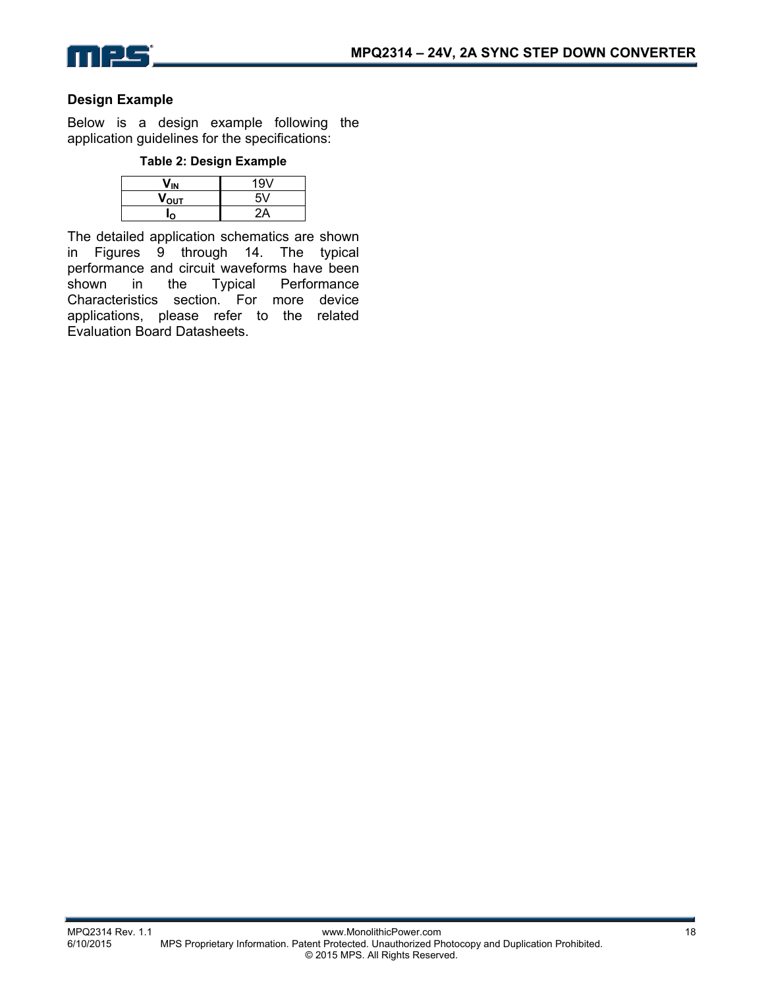

#### **Design Example**

Below is a design example following the application guidelines for the specifications:

#### **Table 2: Design Example**

|                  | 19V |
|------------------|-----|
| $V_{\text{OUT}}$ |     |
|                  |     |

The detailed application schematics are shown in Figures 9 through 14. The typical performance and circuit waveforms have been shown in the Typical Performance Characteristics section. For more device applications, please refer to the related Evaluation Board Datasheets.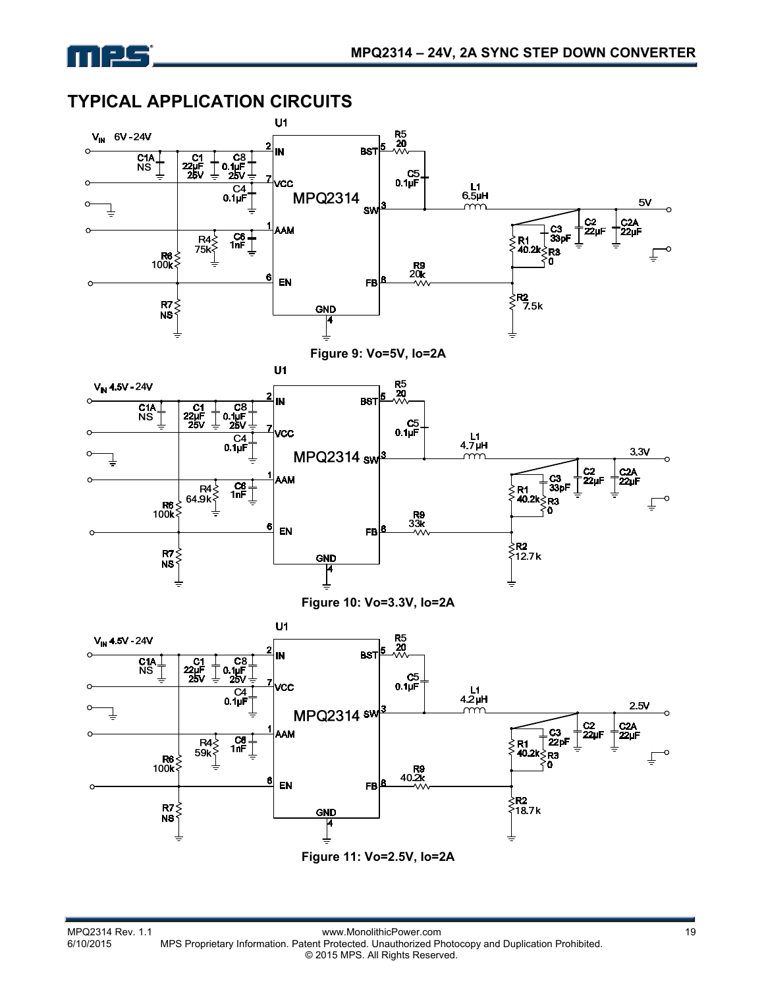

## **TYPICAL APPLICATION CIRCUITS**

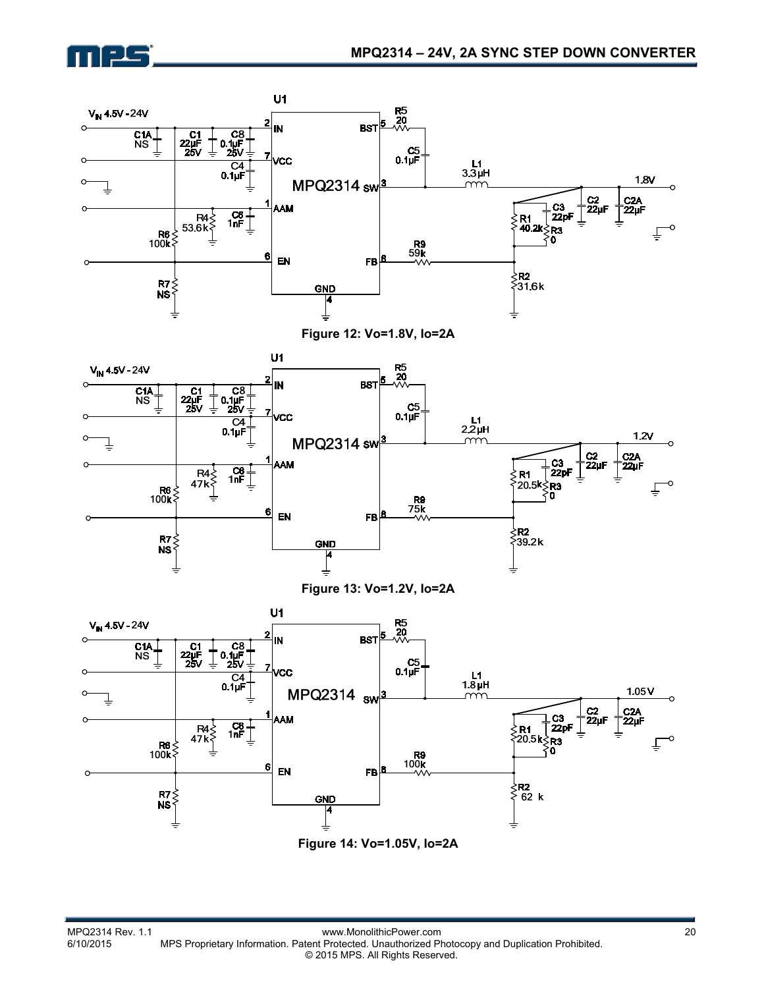